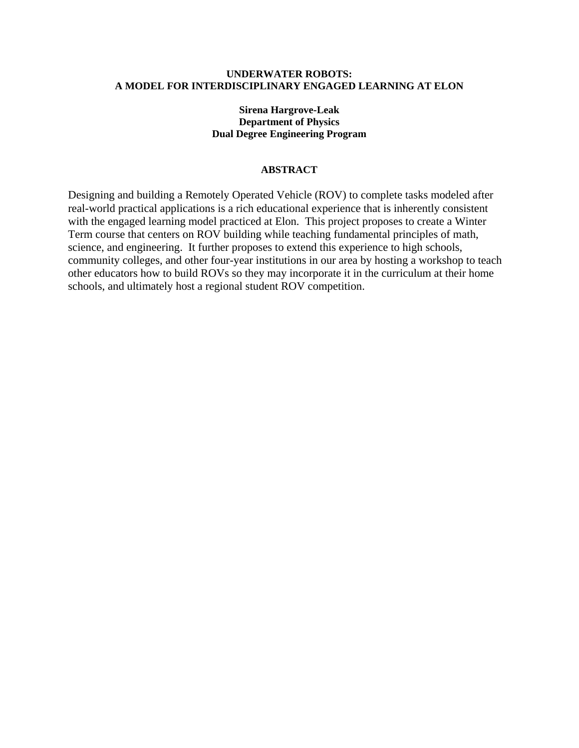## **UNDERWATER ROBOTS: A MODEL FOR INTERDISCIPLINARY ENGAGED LEARNING AT ELON**

# **Sirena Hargrove-Leak Department of Physics Dual Degree Engineering Program**

### **ABSTRACT**

Designing and building a Remotely Operated Vehicle (ROV) to complete tasks modeled after real-world practical applications is a rich educational experience that is inherently consistent with the engaged learning model practiced at Elon. This project proposes to create a Winter Term course that centers on ROV building while teaching fundamental principles of math, science, and engineering. It further proposes to extend this experience to high schools, community colleges, and other four-year institutions in our area by hosting a workshop to teach other educators how to build ROVs so they may incorporate it in the curriculum at their home schools, and ultimately host a regional student ROV competition.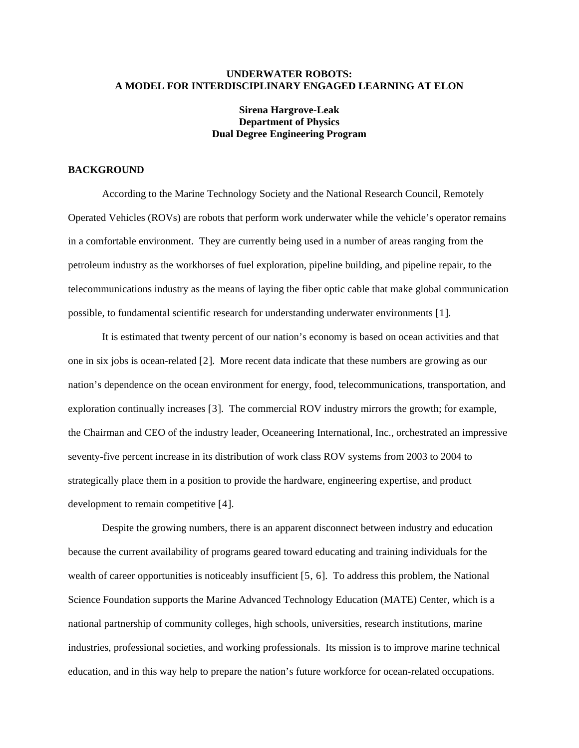### **UNDERWATER ROBOTS: A MODEL FOR INTERDISCIPLINARY ENGAGED LEARNING AT ELON**

# **Sirena Hargrove-Leak Department of Physics Dual Degree Engineering Program**

#### **BACKGROUND**

According to the Marine Technology Society and the National Research Council, Remotely Operated Vehicles (ROVs) are robots that perform work underwater while the vehicle's operator remains in a comfortable environment. They are currently being used in a number of areas ranging from the petroleum industry as the workhorses of fuel exploration, pipeline building, and pipeline repair, to the telecommunications industry as the means of laying the fiber optic cable that make global communication possible, to fundamental scientific research for understanding underwater environments [[1](#page-6-0)].

It is estimated that twenty percent of our nation's economy is based on ocean activities and that one in six jobs is ocean-related [[2](#page-6-1)]. More recent data indicate that these numbers are growing as our nation's dependence on the ocean environment for energy, food, telecommunications, transportation, and exploration continually increases [[3](#page-6-1)]. The commercial ROV industry mirrors the growth; for example, the Chairman and CEO of the industry leader, Oceaneering International, Inc., orchestrated an impressive seventy-five percent increase in its distribution of work class ROV systems from 2003 to 2004 to strategically place them in a position to provide the hardware, engineering expertise, and product development to remain competitive [[4](#page-6-1)].

Despite the growing numbers, there is an apparent disconnect between industry and education because the current availability of programs geared toward educating and training individuals for the wealth of career opportunities is noticeably insufficient [[5](#page-6-1), [6](#page-6-1)]. To address this problem, the National Science Foundation supports the Marine Advanced Technology Education (MATE) Center, which is a national partnership of community colleges, high schools, universities, research institutions, marine industries, professional societies, and working professionals. Its mission is to improve marine technical education, and in this way help to prepare the nation's future workforce for ocean-related occupations.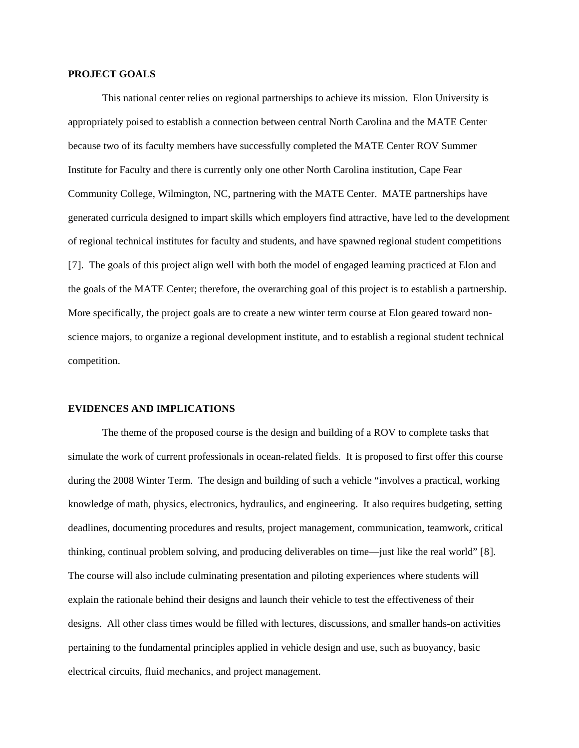#### **PROJECT GOALS**

This national center relies on regional partnerships to achieve its mission. Elon University is appropriately poised to establish a connection between central North Carolina and the MATE Center because two of its faculty members have successfully completed the MATE Center ROV Summer Institute for Faculty and there is currently only one other North Carolina institution, Cape Fear Community College, Wilmington, NC, partnering with the MATE Center. MATE partnerships have generated curricula designed to impart skills which employers find attractive, have led to the development of regional technical institutes for faculty and students, and have spawned regional student competitions [[7](#page-6-1)]. The goals of this project align well with both the model of engaged learning practiced at Elon and the goals of the MATE Center; therefore, the overarching goal of this project is to establish a partnership. More specifically, the project goals are to create a new winter term course at Elon geared toward nonscience majors, to organize a regional development institute, and to establish a regional student technical competition.

#### **EVIDENCES AND IMPLICATIONS**

The theme of the proposed course is the design and building of a ROV to complete tasks that simulate the work of current professionals in ocean-related fields. It is proposed to first offer this course during the 2008 Winter Term. The design and building of such a vehicle "involves a practical, working knowledge of math, physics, electronics, hydraulics, and engineering. It also requires budgeting, setting deadlines, documenting procedures and results, project management, communication, teamwork, critical thinking, continual problem solving, and producing deliverables on time—just like the real world" [[8](#page-6-1)]. The course will also include culminating presentation and piloting experiences where students will explain the rationale behind their designs and launch their vehicle to test the effectiveness of their designs. All other class times would be filled with lectures, discussions, and smaller hands-on activities pertaining to the fundamental principles applied in vehicle design and use, such as buoyancy, basic electrical circuits, fluid mechanics, and project management.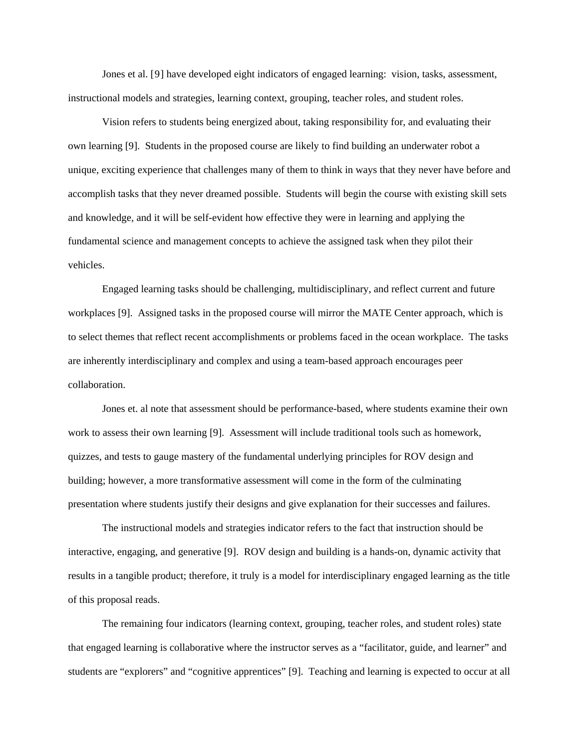<span id="page-3-0"></span>Jones et al. [[9](#page-6-1)] have developed eight indicators of engaged learning: vision, tasks, assessment, instructional models and strategies, learning context, grouping, teacher roles, and student roles.

Vision refers to students being energized about, taking responsibility for, and evaluating their own learning [\[9\]](#page-3-0). Students in the proposed course are likely to find building an underwater robot a unique, exciting experience that challenges many of them to think in ways that they never have before and accomplish tasks that they never dreamed possible. Students will begin the course with existing skill sets and knowledge, and it will be self-evident how effective they were in learning and applying the fundamental science and management concepts to achieve the assigned task when they pilot their vehicles.

Engaged learning tasks should be challenging, multidisciplinary, and reflect current and future workplaces [[9](#page-3-0)]. Assigned tasks in the proposed course will mirror the MATE Center approach, which is to select themes that reflect recent accomplishments or problems faced in the ocean workplace. The tasks are inherently interdisciplinary and complex and using a team-based approach encourages peer collaboration.

Jones et. al note that assessment should be performance-based, where students examine their own work to assess their own learning [\[9\]](#page-3-0). Assessment will include traditional tools such as homework, quizzes, and tests to gauge mastery of the fundamental underlying principles for ROV design and building; however, a more transformative assessment will come in the form of the culminating presentation where students justify their designs and give explanation for their successes and failures.

The instructional models and strategies indicator refers to the fact that instruction should be interactive, engaging, and generative [[9](#page-3-0)]. ROV design and building is a hands-on, dynamic activity that results in a tangible product; therefore, it truly is a model for interdisciplinary engaged learning as the title of this proposal reads.

The remaining four indicators (learning context, grouping, teacher roles, and student roles) state that engaged learning is collaborative where the instructor serves as a "facilitator, guide, and learner" and students are "explorers" and "cognitive apprentices" [[9](#page-3-0)]. Teaching and learning is expected to occur at all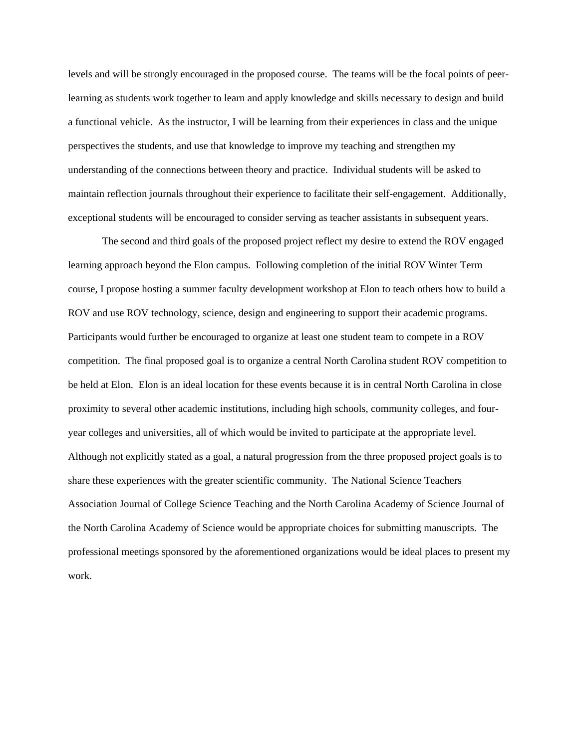levels and will be strongly encouraged in the proposed course. The teams will be the focal points of peerlearning as students work together to learn and apply knowledge and skills necessary to design and build a functional vehicle. As the instructor, I will be learning from their experiences in class and the unique perspectives the students, and use that knowledge to improve my teaching and strengthen my understanding of the connections between theory and practice. Individual students will be asked to maintain reflection journals throughout their experience to facilitate their self-engagement. Additionally, exceptional students will be encouraged to consider serving as teacher assistants in subsequent years.

The second and third goals of the proposed project reflect my desire to extend the ROV engaged learning approach beyond the Elon campus. Following completion of the initial ROV Winter Term course, I propose hosting a summer faculty development workshop at Elon to teach others how to build a ROV and use ROV technology, science, design and engineering to support their academic programs. Participants would further be encouraged to organize at least one student team to compete in a ROV competition. The final proposed goal is to organize a central North Carolina student ROV competition to be held at Elon. Elon is an ideal location for these events because it is in central North Carolina in close proximity to several other academic institutions, including high schools, community colleges, and fouryear colleges and universities, all of which would be invited to participate at the appropriate level. Although not explicitly stated as a goal, a natural progression from the three proposed project goals is to share these experiences with the greater scientific community. The National Science Teachers Association Journal of College Science Teaching and the North Carolina Academy of Science Journal of the North Carolina Academy of Science would be appropriate choices for submitting manuscripts. The professional meetings sponsored by the aforementioned organizations would be ideal places to present my work.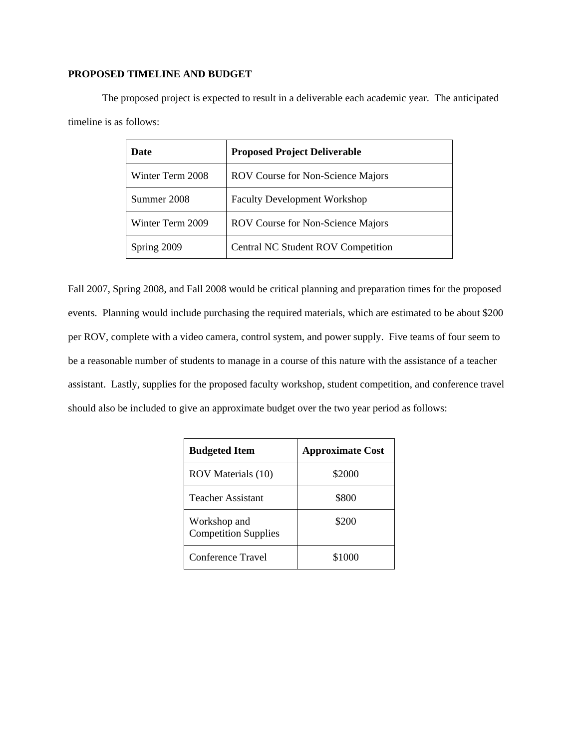## **PROPOSED TIMELINE AND BUDGET**

The proposed project is expected to result in a deliverable each academic year. The anticipated timeline is as follows:

| <b>Date</b>      | <b>Proposed Project Deliverable</b>      |
|------------------|------------------------------------------|
| Winter Term 2008 | <b>ROV Course for Non-Science Majors</b> |
| Summer 2008      | <b>Faculty Development Workshop</b>      |
| Winter Term 2009 | <b>ROV Course for Non-Science Majors</b> |
| Spring 2009      | Central NC Student ROV Competition       |

Fall 2007, Spring 2008, and Fall 2008 would be critical planning and preparation times for the proposed events. Planning would include purchasing the required materials, which are estimated to be about \$200 per ROV, complete with a video camera, control system, and power supply. Five teams of four seem to be a reasonable number of students to manage in a course of this nature with the assistance of a teacher assistant. Lastly, supplies for the proposed faculty workshop, student competition, and conference travel should also be included to give an approximate budget over the two year period as follows:

| <b>Budgeted Item</b>                        | <b>Approximate Cost</b> |
|---------------------------------------------|-------------------------|
| ROV Materials (10)                          | \$2000                  |
| <b>Teacher Assistant</b>                    | \$800                   |
| Workshop and<br><b>Competition Supplies</b> | \$200                   |
| Conference Travel                           | \$1000                  |